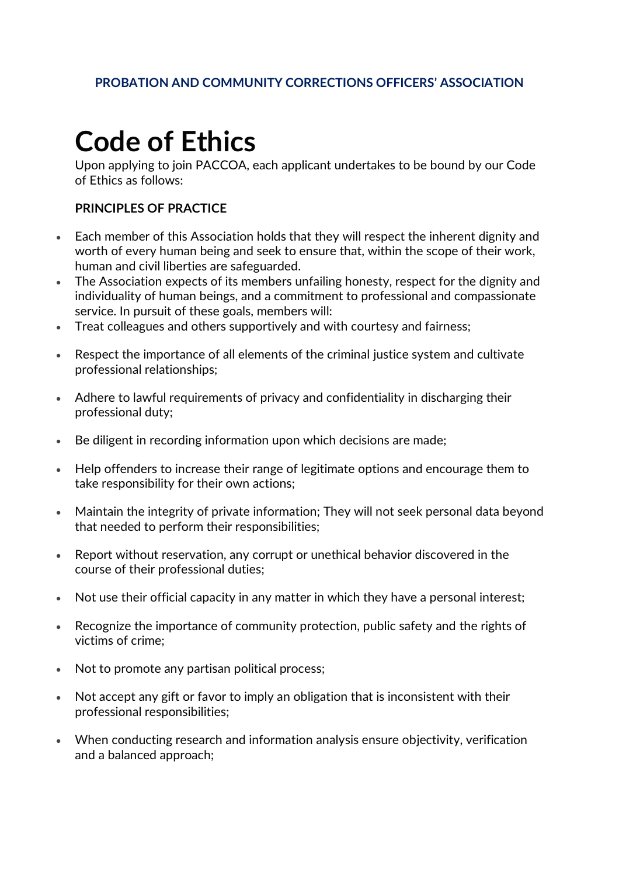## **PROBATION AND COMMUNITY CORRECTIONS OFFICERS' ASSOCIATION**

## **Code of Ethics**

Upon applying to join PACCOA, each applicant undertakes to be bound by our Code of Ethics as follows:

## **PRINCIPLES OF PRACTICE**

- Each member of this Association holds that they will respect the inherent dignity and worth of every human being and seek to ensure that, within the scope of their work, human and civil liberties are safeguarded.
- The Association expects of its members unfailing honesty, respect for the dignity and individuality of human beings, and a commitment to professional and compassionate service. In pursuit of these goals, members will:
- Treat colleagues and others supportively and with courtesy and fairness;
- Respect the importance of all elements of the criminal justice system and cultivate professional relationships;
- Adhere to lawful requirements of privacy and confidentiality in discharging their professional duty;
- Be diligent in recording information upon which decisions are made;
- Help offenders to increase their range of legitimate options and encourage them to take responsibility for their own actions;
- Maintain the integrity of private information; They will not seek personal data beyond that needed to perform their responsibilities;
- Report without reservation, any corrupt or unethical behavior discovered in the course of their professional duties;
- Not use their official capacity in any matter in which they have a personal interest;
- Recognize the importance of community protection, public safety and the rights of victims of crime;
- Not to promote any partisan political process;
- Not accept any gift or favor to imply an obligation that is inconsistent with their professional responsibilities;
- When conducting research and information analysis ensure objectivity, verification and a balanced approach;